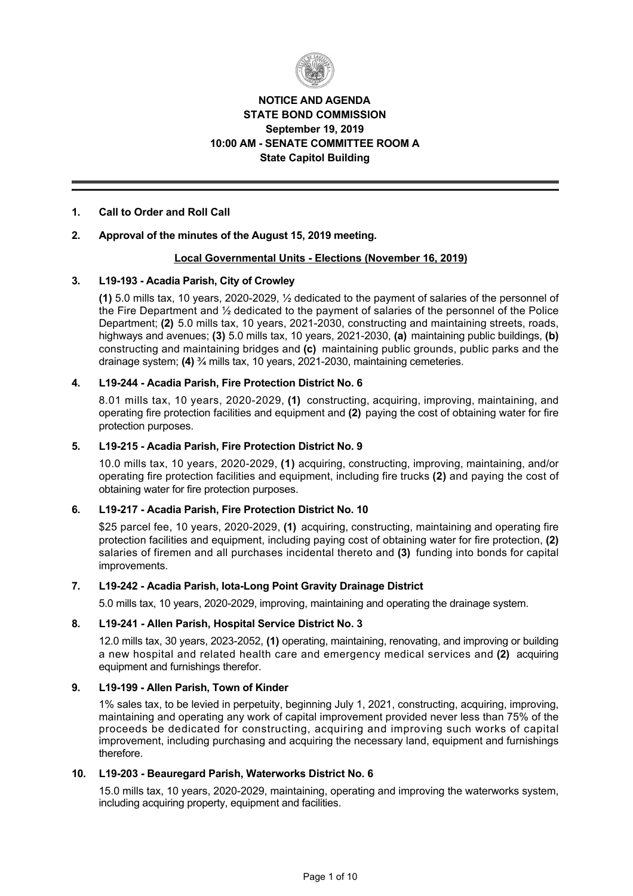

# **NOTICE AND AGENDA STATE BOND COMMISSION September 19, 2019 10:00 AM SENATE COMMITTEE ROOM A State Capitol Building**

# **1. Call to Order and Roll Call**

## **2. Approval of the minutes of the August 15, 2019 meeting.**

## **Local Governmental Units Elections (November 16, 2019)**

## **3. L19193 Acadia Parish, City of Crowley**

 $(1)$  5.0 mills tax, 10 years, 2020-2029,  $\frac{1}{2}$  dedicated to the payment of salaries of the personnel of the Fire Department and ½ dedicated to the payment of salaries of the personnel of the Police Department; (2) 5.0 mills tax, 10 years, 2021-2030, constructing and maintaining streets, roads, highways and avenues; **(3)** 5.0 mills tax, 10 years, 2021-2030, **(a)** maintaining public buildings, **(b)** constructing and maintaining bridges and **(c)** maintaining public grounds, public parks and the drainage system; **(4)** <sup>3</sup>/<sub>4</sub> mills tax, 10 years, 2021-2030, maintaining cemeteries.

## **4. L19244 Acadia Parish, Fire Protection District No. 6**

8.01 mills tax, 10 years, 2020-2029, (1) constructing, acquiring, improving, maintaining, and operating fire protection facilities and equipment and **(2)** paying the cost of obtaining water for fire protection purposes.

### **5. L19215 Acadia Parish, Fire Protection District No. 9**

10.0 mills tax, 10 years, 2020-2029, (1) acquiring, constructing, improving, maintaining, and/or operating fire protection facilities and equipment, including fire trucks **(2)** and paying the cost of obtaining water for fire protection purposes.

## **6. L19217 Acadia Parish, Fire Protection District No. 10**

\$25 parcel fee, 10 years, 2020-2029, (1) acquiring, constructing, maintaining and operating fire protection facilities and equipment, including paying cost of obtaining water for fire protection, **(2)** salaries of firemen and all purchases incidental thereto and **(3)** funding into bonds for capital improvements.

## 7. L19-242 - Acadia Parish, lota-Long Point Gravity Drainage District

5.0 mills tax, 10 years, 2020-2029, improving, maintaining and operating the drainage system.

#### **8. L19241 Allen Parish, Hospital Service District No. 3**

12.0 mills tax, 30 years, 2023-2052, (1) operating, maintaining, renovating, and improving or building a new hospital and related health care and emergency medical services and **(2)** acquiring equipment and furnishings therefor.

## **9. L19199 Allen Parish, Town of Kinder**

1% sales tax, to be levied in perpetuity, beginning July 1, 2021, constructing, acquiring, improving, maintaining and operating any work of capital improvement provided never less than 75% of the proceeds be dedicated for constructing, acquiring and improving such works of capital improvement, including purchasing and acquiring the necessary land, equipment and furnishings therefore.

# **10. L19203 Beauregard Parish, Waterworks District No. 6**

15.0 mills tax, 10 years, 2020-2029, maintaining, operating and improving the waterworks system, including acquiring property, equipment and facilities.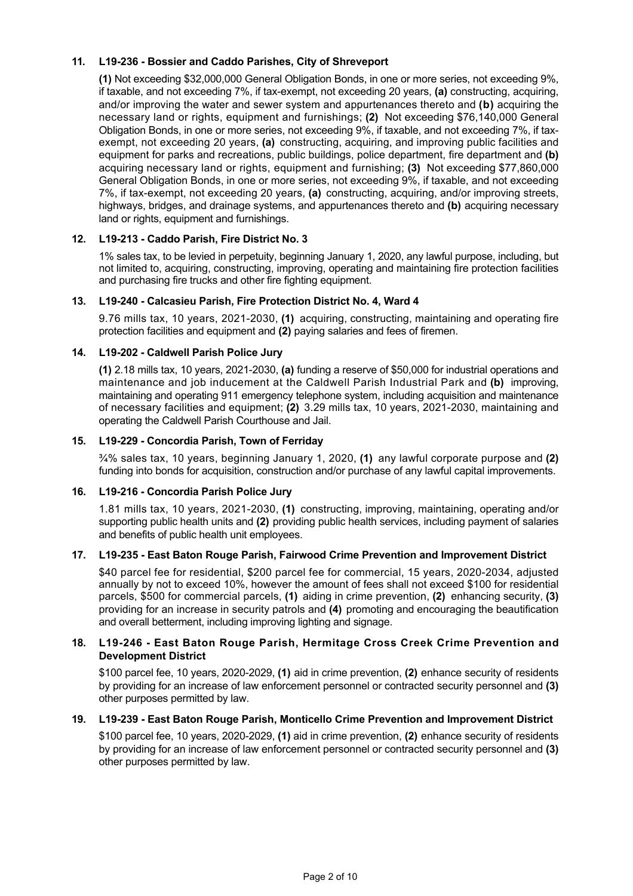# **11. L19236 Bossier and Caddo Parishes, City of Shreveport**

**(1)** Not exceeding \$32,000,000 General Obligation Bonds, in one or more series, not exceeding 9%, if taxable, and not exceeding 7%, if tax-exempt, not exceeding 20 years, **(a)** constructing, acquiring, and/or improving the water and sewer system and appurtenances thereto and **(b)** acquiring the necessary land or rights, equipment and furnishings; **(2)** Not exceeding \$76,140,000 General Obligation Bonds, in one or more series, not exceeding 9%, if taxable, and not exceeding 7%, if taxexempt, not exceeding 20 years, **(a)** constructing, acquiring, and improving public facilities and equipment for parks and recreations, public buildings, police department, fire department and **(b)** acquiring necessary land or rights, equipment and furnishing; **(3)** Not exceeding \$77,860,000 General Obligation Bonds, in one or more series, not exceeding 9%, if taxable, and not exceeding 7%, if tax-exempt, not exceeding 20 years, (a) constructing, acquiring, and/or improving streets, highways, bridges, and drainage systems, and appurtenances thereto and **(b)** acquiring necessary land or rights, equipment and furnishings.

## **12. L19213 Caddo Parish, Fire District No. 3**

1% sales tax, to be levied in perpetuity, beginning January 1, 2020, any lawful purpose, including, but not limited to, acquiring, constructing, improving, operating and maintaining fire protection facilities and purchasing fire trucks and other fire fighting equipment.

## **13. L19240 Calcasieu Parish, Fire Protection District No. 4, Ward 4**

9.76 mills tax, 10 years, 2021-2030, (1) acquiring, constructing, maintaining and operating fire protection facilities and equipment and **(2)** paying salaries and fees of firemen.

# **14. L19202 Caldwell Parish Police Jury**

**(1)** 2.18 mills tax, 10 years, 2021-2030, **(a)** funding a reserve of \$50,000 for industrial operations and maintenance and job inducement at the Caldwell Parish Industrial Park and **(b)** improving, maintaining and operating 911 emergency telephone system, including acquisition and maintenance of necessary facilities and equipment; **(2)** 3.29 mills tax, 10 years, 2021-2030, maintaining and operating the Caldwell Parish Courthouse and Jail.

## **15. L19229 Concordia Parish, Town of Ferriday**

¾% sales tax, 10 years, beginning January 1, 2020, **(1)** any lawful corporate purpose and **(2)** funding into bonds for acquisition, construction and/or purchase of any lawful capital improvements.

## **16. L19216 Concordia Parish Police Jury**

1.81 mills tax, 10 years, 2021-2030, (1) constructing, improving, maintaining, operating and/or supporting public health units and **(2)** providing public health services, including payment of salaries and benefits of public health unit employees.

## **17. L19235 East Baton Rouge Parish, Fairwood Crime Prevention and Improvement District**

\$40 parcel fee for residential, \$200 parcel fee for commercial, 15 years, 2020-2034, adjusted annually by not to exceed 10%, however the amount of fees shall not exceed \$100 for residential parcels, \$500 for commercial parcels, **(1)** aiding in crime prevention, **(2)** enhancing security, **(3)** providing for an increase in security patrols and **(4)** promoting and encouraging the beautification and overall betterment, including improving lighting and signage.

# **18. L19246 East Baton Rouge Parish, Hermitage Cross Creek Crime Prevention and Development District**

\$100 parcel fee, 10 years, 2020-2029, (1) aid in crime prevention, (2) enhance security of residents by providing for an increase of law enforcement personnel or contracted security personnel and **(3)** other purposes permitted by law.

## **19. L19239 East Baton Rouge Parish, Monticello Crime Prevention and Improvement District**

\$100 parcel fee, 10 years, 2020-2029, (1) aid in crime prevention, (2) enhance security of residents by providing for an increase of law enforcement personnel or contracted security personnel and **(3)** other purposes permitted by law.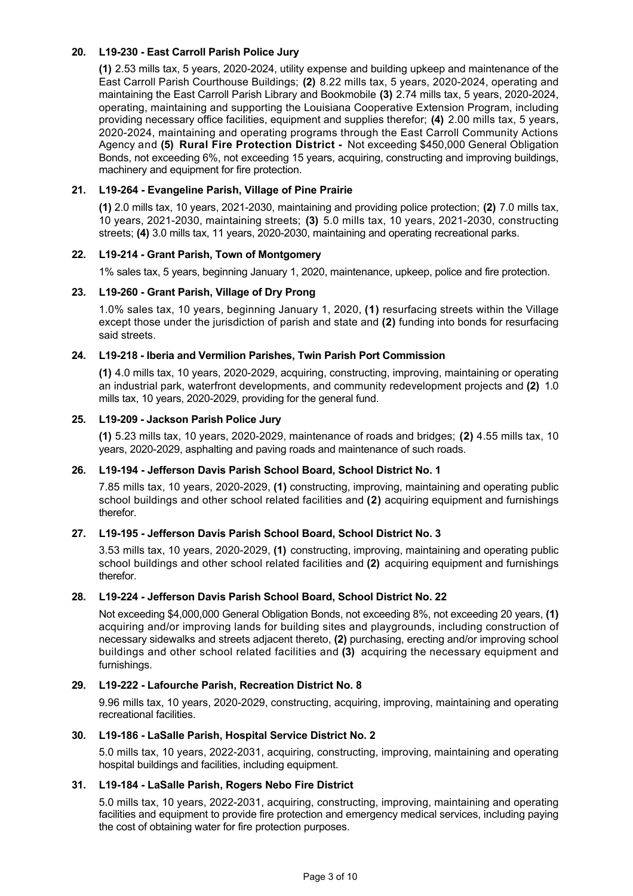# **20. L19230 East Carroll Parish Police Jury**

**(1)** 2.53 mills tax, 5 years, 2020-2024, utility expense and building upkeep and maintenance of the East Carroll Parish Courthouse Buildings; (2) 8.22 mills tax, 5 years, 2020-2024, operating and maintaining the East Carroll Parish Library and Bookmobile (3) 2.74 mills tax, 5 years, 2020-2024, operating, maintaining and supporting the Louisiana Cooperative Extension Program, including providing necessary office facilities, equipment and supplies therefor; **(4)** 2.00 mills tax, 5 years, 2020-2024, maintaining and operating programs through the East Carroll Community Actions Agency and **(5) Rural Fire Protection District**  Not exceeding \$450,000 General Obligation Bonds, not exceeding 6%, not exceeding 15 years, acquiring, constructing and improving buildings, machinery and equipment for fire protection.

# **21. L19264 Evangeline Parish, Village of Pine Prairie**

**(1)** 2.0 mills tax, 10 years, 2021-2030, maintaining and providing police protection; **(2)** 7.0 mills tax, 10 years, 20212030, maintaining streets; **(3)** 5.0 mills tax, 10 years, 20212030, constructing streets; **(4)** 3.0 mills tax, 11 years, 2020-2030, maintaining and operating recreational parks.

# **22. L19214 Grant Parish, Town of Montgomery**

1% sales tax, 5 years, beginning January 1, 2020, maintenance, upkeep, police and fire protection.

## **23. L19260 Grant Parish, Village of Dry Prong**

1.0% sales tax, 10 years, beginning January 1, 2020, **(1)** resurfacing streets within the Village except those under the jurisdiction of parish and state and **(2)** funding into bonds for resurfacing said streets.

# **24. L19218 Iberia and Vermilion Parishes, Twin Parish Port Commission**

**(1)** 4.0 mills tax, 10 years, 2020-2029, acquiring, constructing, improving, maintaining or operating an industrial park, waterfront developments, and community redevelopment projects and **(2)** 1.0 mills tax, 10 years, 2020-2029, providing for the general fund.

# **25. L19209 Jackson Parish Police Jury**

**(1)** 5.23 mills tax, 10 years, 2020-2029, maintenance of roads and bridges; **(2)** 4.55 mills tax, 10 years, 2020-2029, asphalting and paving roads and maintenance of such roads.

## 26. L19-194 - Jefferson Davis Parish School Board, School District No. 1

7.85 mills tax, 10 years, 2020-2029, (1) constructing, improving, maintaining and operating public school buildings and other school related facilities and **(2)** acquiring equipment and furnishings therefor.

## **27. L19195 Jefferson Davis Parish School Board, School District No. 3**

3.53 mills tax, 10 years, 2020-2029, (1) constructing, improving, maintaining and operating public school buildings and other school related facilities and **(2)** acquiring equipment and furnishings therefor.

## **28. L19224 Jefferson Davis Parish School Board, School District No. 22**

Not exceeding \$4,000,000 General Obligation Bonds, not exceeding 8%, not exceeding 20 years, **(1)** acquiring and/or improving lands for building sites and playgrounds, including construction of necessary sidewalks and streets adjacent thereto, **(2)** purchasing, erecting and/or improving school buildings and other school related facilities and **(3)** acquiring the necessary equipment and furnishings.

## **29. L19222 Lafourche Parish, Recreation District No. 8**

9.96 mills tax, 10 years, 2020-2029, constructing, acquiring, improving, maintaining and operating recreational facilities.

## **30. L19186 LaSalle Parish, Hospital Service District No. 2**

5.0 mills tax, 10 years, 2022-2031, acquiring, constructing, improving, maintaining and operating hospital buildings and facilities, including equipment.

## 31. L19-184 - LaSalle Parish, Rogers Nebo Fire District

5.0 mills tax, 10 years, 2022-2031, acquiring, constructing, improving, maintaining and operating facilities and equipment to provide fire protection and emergency medical services, including paying the cost of obtaining water for fire protection purposes.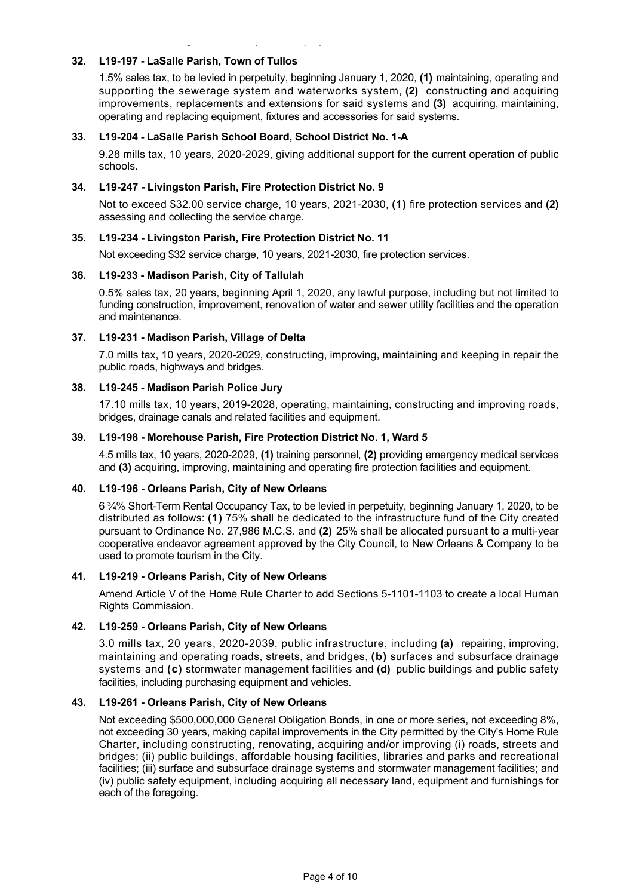### **32. L19197 LaSalle Parish, Town of Tullos**

1.5% sales tax, to be levied in perpetuity, beginning January 1, 2020, **(1)** maintaining, operating and supporting the sewerage system and waterworks system, **(2)** constructing and acquiring improvements, replacements and extensions for said systems and **(3)** acquiring, maintaining, operating and replacing equipment, fixtures and accessories for said systems.

### **33. L19204 LaSalle Parish School Board, School District No. 1A**

9.28 mills tax, 10 years, 2020-2029, giving additional support for the current operation of public schools.

#### **34. L19247 Livingston Parish, Fire Protection District No. 9**

the cost of obtaining water for fire protection purposes.

Not to exceed \$32.00 service charge, 10 years, 20212030, **(1)** fire protection services and **(2)** assessing and collecting the service charge.

### **35. L19234 Livingston Parish, Fire Protection District No. 11**

Not exceeding \$32 service charge, 10 years, 2021-2030, fire protection services.

### **36. L19233 Madison Parish, City of Tallulah**

0.5% sales tax, 20 years, beginning April 1, 2020, any lawful purpose, including but not limited to funding construction, improvement, renovation of water and sewer utility facilities and the operation and maintenance.

### **37. L19231 Madison Parish, Village of Delta**

7.0 mills tax, 10 years, 2020-2029, constructing, improving, maintaining and keeping in repair the public roads, highways and bridges.

### **38. L19245 Madison Parish Police Jury**

17.10 mills tax, 10 years, 2019-2028, operating, maintaining, constructing and improving roads, bridges, drainage canals and related facilities and equipment.

### **39. L19198 Morehouse Parish, Fire Protection District No. 1, Ward 5**

4.5 mills tax, 10 years, 2020-2029, (1) training personnel, (2) providing emergency medical services and **(3)** acquiring, improving, maintaining and operating fire protection facilities and equipment.

#### **40. L19196 Orleans Parish, City of New Orleans**

6 <sup>3</sup>/<sub>4</sub>% Short-Term Rental Occupancy Tax, to be levied in perpetuity, beginning January 1, 2020, to be distributed as follows: **(1)** 75% shall be dedicated to the infrastructure fund of the City created pursuant to Ordinance No. 27,986 M.C.S. and (2) 25% shall be allocated pursuant to a multi-year cooperative endeavor agreement approved by the City Council, to New Orleans & Company to be used to promote tourism in the City.

#### **41. L19219 Orleans Parish, City of New Orleans**

Amend Article V of the Home Rule Charter to add Sections 5-1101-1103 to create a local Human Rights Commission.

## **42. L19259 Orleans Parish, City of New Orleans**

3.0 mills tax, 20 years, 2020-2039, public infrastructure, including (a) repairing, improving, maintaining and operating roads, streets, and bridges, **(b)** surfaces and subsurface drainage systems and **(c)** stormwater management facilities and **(d)** public buildings and public safety facilities, including purchasing equipment and vehicles.

#### **43. L19261 Orleans Parish, City of New Orleans**

Not exceeding \$500,000,000 General Obligation Bonds, in one or more series, not exceeding 8%, not exceeding 30 years, making capital improvements in the City permitted by the City's Home Rule Charter, including constructing, renovating, acquiring and/or improving (i) roads, streets and bridges; (ii) public buildings, affordable housing facilities, libraries and parks and recreational facilities; (iii) surface and subsurface drainage systems and stormwater management facilities; and (iv) public safety equipment, including acquiring all necessary land, equipment and furnishings for each of the foregoing.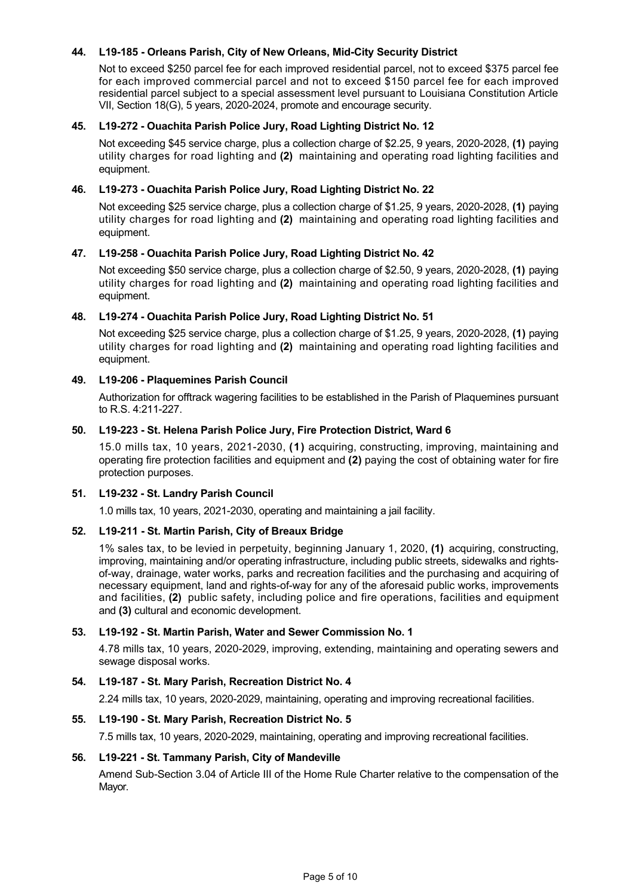## 44. L19-185 - Orleans Parish, City of New Orleans, Mid-City Security District

Not to exceed \$250 parcel fee for each improved residential parcel, not to exceed \$375 parcel fee for each improved commercial parcel and not to exceed \$150 parcel fee for each improved residential parcel subject to a special assessment level pursuant to Louisiana Constitution Article VII, Section 18(G), 5 years, 2020-2024, promote and encourage security.

## **45. L19272 Ouachita Parish Police Jury, Road Lighting District No. 12**

Not exceeding \$45 service charge, plus a collection charge of \$2.25, 9 years, 2020-2028, **(1)** paying utility charges for road lighting and **(2)** maintaining and operating road lighting facilities and equipment.

### **46. L19273 Ouachita Parish Police Jury, Road Lighting District No. 22**

Not exceeding \$25 service charge, plus a collection charge of \$1.25, 9 years, 2020-2028, (1) paying utility charges for road lighting and **(2)** maintaining and operating road lighting facilities and equipment.

### **47. L19258 Ouachita Parish Police Jury, Road Lighting District No. 42**

Not exceeding \$50 service charge, plus a collection charge of \$2.50, 9 years, 2020-2028, (1) paying utility charges for road lighting and **(2)** maintaining and operating road lighting facilities and equipment.

### **48. L19274 Ouachita Parish Police Jury, Road Lighting District No. 51**

Not exceeding \$25 service charge, plus a collection charge of \$1.25, 9 years, 2020-2028, (1) paying utility charges for road lighting and **(2)** maintaining and operating road lighting facilities and equipment.

### **49. L19206 Plaquemines Parish Council**

Authorization for offtrack wagering facilities to be established in the Parish of Plaquemines pursuant to R.S. 4:211-227.

### **50. L19223 St. Helena Parish Police Jury, Fire Protection District, Ward 6**

15.0 mills tax, 10 years, 2021-2030, (1) acquiring, constructing, improving, maintaining and operating fire protection facilities and equipment and **(2)** paying the cost of obtaining water for fire protection purposes.

## **51. L19232 St. Landry Parish Council**

1.0 mills tax, 10 years, 2021-2030, operating and maintaining a jail facility.

#### **52. L19211 St. Martin Parish, City of Breaux Bridge**

1% sales tax, to be levied in perpetuity, beginning January 1, 2020, **(1)** acquiring, constructing, improving, maintaining and/or operating infrastructure, including public streets, sidewalks and rightsofway, drainage, water works, parks and recreation facilities and the purchasing and acquiring of necessary equipment, land and rights-of-way for any of the aforesaid public works, improvements and facilities, **(2)** public safety, including police and fire operations, facilities and equipment and **(3)** cultural and economic development.

#### **53. L19192 St. Martin Parish, Water and Sewer Commission No. 1**

4.78 mills tax, 10 years, 2020-2029, improving, extending, maintaining and operating sewers and sewage disposal works.

#### **54. L19187 St. Mary Parish, Recreation District No. 4**

2.24 mills tax, 10 years, 2020-2029, maintaining, operating and improving recreational facilities.

#### **55. L19190 St. Mary Parish, Recreation District No. 5**

7.5 mills tax, 10 years, 2020-2029, maintaining, operating and improving recreational facilities.

#### **56. L19221 St. Tammany Parish, City of Mandeville**

Amend Sub-Section 3.04 of Article III of the Home Rule Charter relative to the compensation of the Mayor.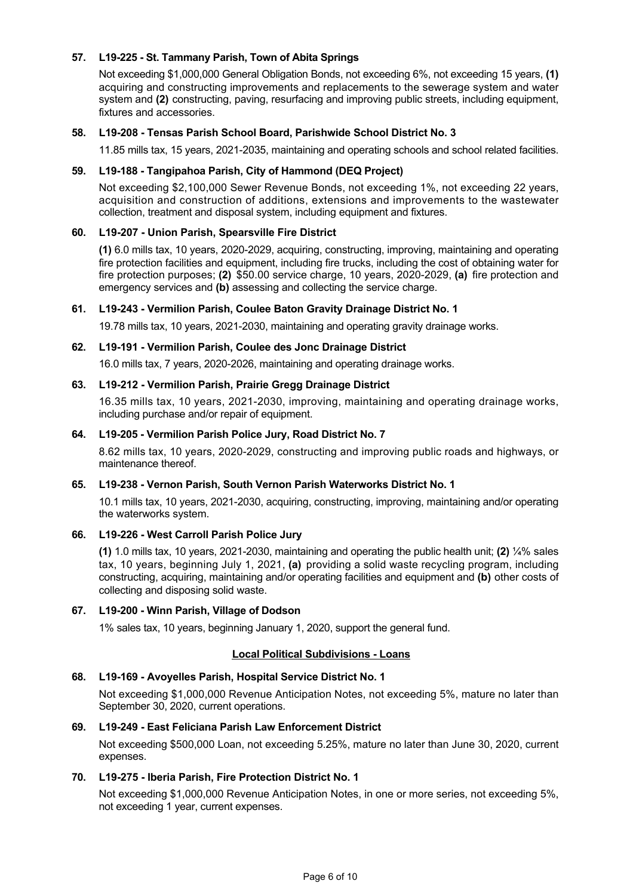### **57. L19225 St. Tammany Parish, Town of Abita Springs**

Not exceeding \$1,000,000 General Obligation Bonds, not exceeding 6%, not exceeding 15 years, **(1)** acquiring and constructing improvements and replacements to the sewerage system and water system and **(2)** constructing, paving, resurfacing and improving public streets, including equipment, fixtures and accessories.

### **58. L19208 Tensas Parish School Board, Parishwide School District No. 3**

11.85 mills tax, 15 years, 2021-2035, maintaining and operating schools and school related facilities.

#### **59. L19188 Tangipahoa Parish, City of Hammond (DEQ Project)**

Not exceeding \$2,100,000 Sewer Revenue Bonds, not exceeding 1%, not exceeding 22 years, acquisition and construction of additions, extensions and improvements to the wastewater collection, treatment and disposal system, including equipment and fixtures.

### **60. L19207 Union Parish, Spearsville Fire District**

(1) 6.0 mills tax, 10 years, 2020-2029, acquiring, constructing, improving, maintaining and operating fire protection facilities and equipment, including fire trucks, including the cost of obtaining water for fire protection purposes; **(2)** \$50.00 service charge, 10 years, 2020-2029, **(a)** fire protection and emergency services and **(b)** assessing and collecting the service charge.

#### **61. L19243 Vermilion Parish, Coulee Baton Gravity Drainage District No. 1**

19.78 mills tax, 10 years, 2021-2030, maintaining and operating gravity drainage works.

#### **62. L19191 Vermilion Parish, Coulee des Jonc Drainage District**

16.0 mills tax, 7 years, 2020-2026, maintaining and operating drainage works.

#### **63. L19212 Vermilion Parish, Prairie Gregg Drainage District**

16.35 mills tax, 10 years, 2021-2030, improving, maintaining and operating drainage works, including purchase and/or repair of equipment.

#### **64. L19205 Vermilion Parish Police Jury, Road District No. 7**

8.62 mills tax, 10 years, 2020-2029, constructing and improving public roads and highways, or maintenance thereof.

#### **65. L19238 Vernon Parish, South Vernon Parish Waterworks District No. 1**

10.1 mills tax, 10 years, 20212030, acquiring, constructing, improving, maintaining and/or operating the waterworks system.

### **66. L19226 West Carroll Parish Police Jury**

**(1)** 1.0 mills tax, 10 years, 20212030, maintaining and operating the public health unit; **(2)** ¼% sales tax, 10 years, beginning July 1, 2021, **(a)** providing a solid waste recycling program, including constructing, acquiring, maintaining and/or operating facilities and equipment and **(b)** other costs of collecting and disposing solid waste.

### **67. L19200 Winn Parish, Village of Dodson**

1% sales tax, 10 years, beginning January 1, 2020, support the general fund.

#### **Local Political Subdivisions Loans**

#### **68. L19169 Avoyelles Parish, Hospital Service District No. 1**

Not exceeding \$1,000,000 Revenue Anticipation Notes, not exceeding 5%, mature no later than September 30, 2020, current operations.

# **69. L19249 East Feliciana Parish Law Enforcement District**

Not exceeding \$500,000 Loan, not exceeding 5.25%, mature no later than June 30, 2020, current expenses.

# **70. L19275 Iberia Parish, Fire Protection District No. 1**

Not exceeding \$1,000,000 Revenue Anticipation Notes, in one or more series, not exceeding 5%, not exceeding 1 year, current expenses.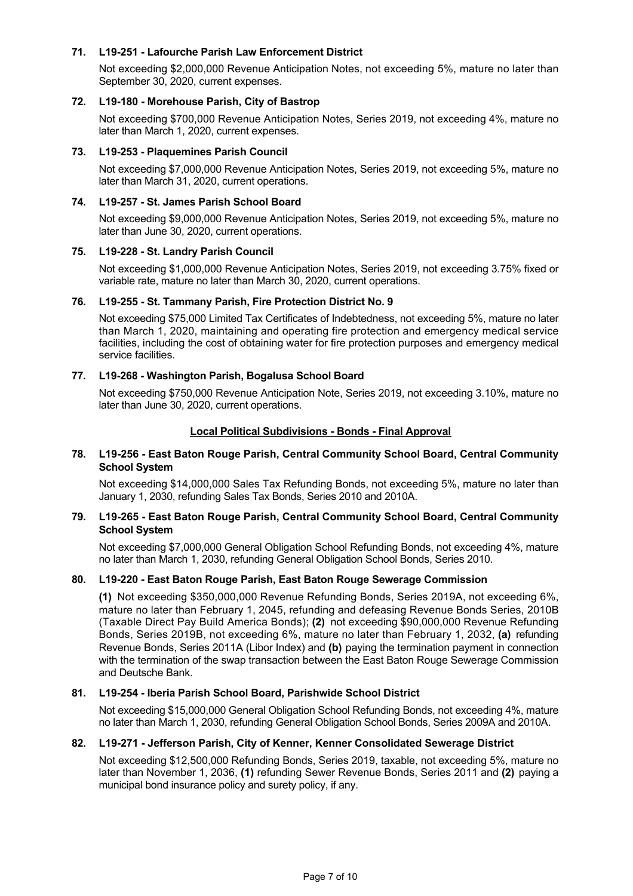# **71. L19251 Lafourche Parish Law Enforcement District**

Not exceeding \$2,000,000 Revenue Anticipation Notes, not exceeding 5%, mature no later than September 30, 2020, current expenses.

### 72. L19-180 - Morehouse Parish, City of Bastrop

Not exceeding \$700,000 Revenue Anticipation Notes, Series 2019, not exceeding 4%, mature no later than March 1, 2020, current expenses.

### **73. L19253 Plaquemines Parish Council**

Not exceeding \$7,000,000 Revenue Anticipation Notes, Series 2019, not exceeding 5%, mature no later than March 31, 2020, current operations.

## 74. L19-257 - St. James Parish School Board

Not exceeding \$9,000,000 Revenue Anticipation Notes, Series 2019, not exceeding 5%, mature no later than June 30, 2020, current operations.

### 75. L19-228 - St. Landry Parish Council

Not exceeding \$1,000,000 Revenue Anticipation Notes, Series 2019, not exceeding 3.75% fixed or variable rate, mature no later than March 30, 2020, current operations.

### **76. L19255 St. Tammany Parish, Fire Protection District No. 9**

Not exceeding \$75,000 Limited Tax Certificates of Indebtedness, not exceeding 5%, mature no later than March 1, 2020, maintaining and operating fire protection and emergency medical service facilities, including the cost of obtaining water for fire protection purposes and emergency medical service facilities.

### **77. L19268 Washington Parish, Bogalusa School Board**

Not exceeding \$750,000 Revenue Anticipation Note, Series 2019, not exceeding 3.10%, mature no later than June 30, 2020, current operations.

### **Local Political Subdivisions - Bonds - Final Approval**

### **78. L19256 East Baton Rouge Parish, Central Community School Board, Central Community School System**

Not exceeding \$14,000,000 Sales Tax Refunding Bonds, not exceeding 5%, mature no later than January 1, 2030, refunding Sales Tax Bonds, Series 2010 and 2010A.

### **79. L19265 East Baton Rouge Parish, Central Community School Board, Central Community School System**

Not exceeding \$7,000,000 General Obligation School Refunding Bonds, not exceeding 4%, mature no later than March 1, 2030, refunding General Obligation School Bonds, Series 2010.

#### **80. L19220 East Baton Rouge Parish, East Baton Rouge Sewerage Commission**

**(1)** Not exceeding \$350,000,000 Revenue Refunding Bonds, Series 2019A, not exceeding 6%, mature no later than February 1, 2045, refunding and defeasing Revenue Bonds Series, 2010B (Taxable Direct Pay Build America Bonds); **(2)** not exceeding \$90,000,000 Revenue Refunding Bonds, Series 2019B, not exceeding 6%, mature no later than February 1, 2032, **(a)** refunding Revenue Bonds, Series 2011A (Libor Index) and **(b)** paying the termination payment in connection with the termination of the swap transaction between the East Baton Rouge Sewerage Commission and Deutsche Bank.

## **81. L19254 Iberia Parish School Board, Parishwide School District**

Not exceeding \$15,000,000 General Obligation School Refunding Bonds, not exceeding 4%, mature no later than March 1, 2030, refunding General Obligation School Bonds, Series 2009A and 2010A.

## **82. L19271 Jefferson Parish, City of Kenner, Kenner Consolidated Sewerage District**

Not exceeding \$12,500,000 Refunding Bonds, Series 2019, taxable, not exceeding 5%, mature no later than November 1, 2036, **(1)** refunding Sewer Revenue Bonds, Series 2011 and **(2)** paying a municipal bond insurance policy and surety policy, if any.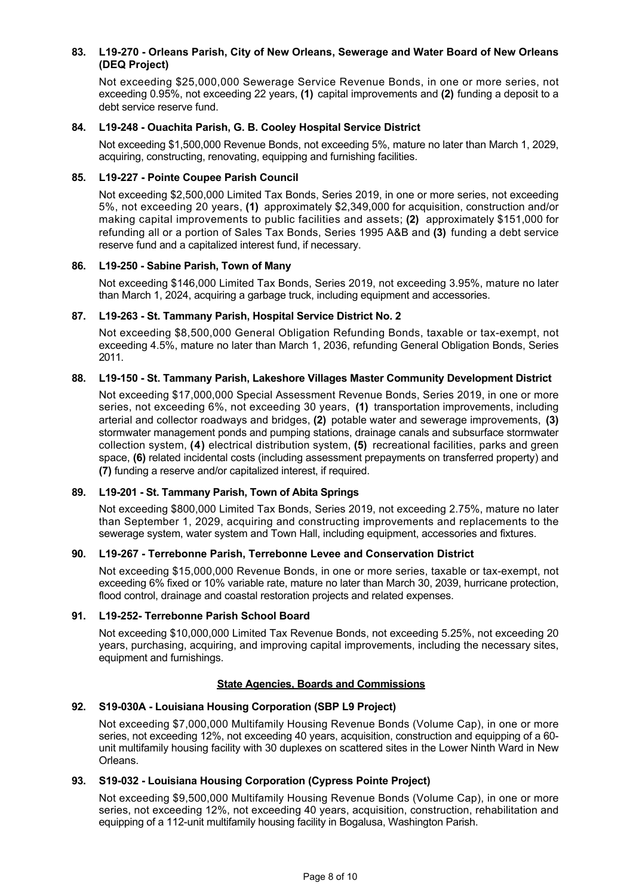# **83. L19270 Orleans Parish, City of New Orleans, Sewerage and Water Board of New Orleans (DEQ Project)**

Not exceeding \$25,000,000 Sewerage Service Revenue Bonds, in one or more series, not exceeding 0.95%, not exceeding 22 years, **(1)** capital improvements and **(2)** funding a deposit to a debt service reserve fund.

## **84. L19248 Ouachita Parish, G. B. Cooley Hospital Service District**

Not exceeding \$1,500,000 Revenue Bonds, not exceeding 5%, mature no later than March 1, 2029, acquiring, constructing, renovating, equipping and furnishing facilities.

#### **85. L19227 Pointe Coupee Parish Council**

Not exceeding \$2,500,000 Limited Tax Bonds, Series 2019, in one or more series, not exceeding 5%, not exceeding 20 years, **(1)** approximately \$2,349,000 for acquisition, construction and/or making capital improvements to public facilities and assets; **(2)** approximately \$151,000 for refunding all or a portion of Sales Tax Bonds, Series 1995 A&B and **(3)** funding a debt service reserve fund and a capitalized interest fund, if necessary.

### **86. L19250 Sabine Parish, Town of Many**

Not exceeding \$146,000 Limited Tax Bonds, Series 2019, not exceeding 3.95%, mature no later than March 1, 2024, acquiring a garbage truck, including equipment and accessories.

### **87. L19263 St. Tammany Parish, Hospital Service District No. 2**

Not exceeding \$8,500,000 General Obligation Refunding Bonds, taxable or tax-exempt, not exceeding 4.5%, mature no later than March 1, 2036, refunding General Obligation Bonds, Series 2011.

# 88. L19-150 - St. Tammany Parish, Lakeshore Villages Master Community Development District

Not exceeding \$17,000,000 Special Assessment Revenue Bonds, Series 2019, in one or more series, not exceeding 6%, not exceeding 30 years, **(1)** transportation improvements, including arterial and collector roadways and bridges, **(2)** potable water and sewerage improvements, **(3)** stormwater management ponds and pumping stations, drainage canals and subsurface stormwater collection system, **(4)** electrical distribution system, **(5)** recreational facilities, parks and green space, **(6)** related incidental costs (including assessment prepayments on transferred property) and **(7)** funding a reserve and/or capitalized interest, if required.

## **89. L19201 St. Tammany Parish, Town of Abita Springs**

Not exceeding \$800,000 Limited Tax Bonds, Series 2019, not exceeding 2.75%, mature no later than September 1, 2029, acquiring and constructing improvements and replacements to the sewerage system, water system and Town Hall, including equipment, accessories and fixtures.

## **90. L19267 Terrebonne Parish, Terrebonne Levee and Conservation District**

Not exceeding \$15,000,000 Revenue Bonds, in one or more series, taxable or tax-exempt, not exceeding 6% fixed or 10% variable rate, mature no later than March 30, 2039, hurricane protection, flood control, drainage and coastal restoration projects and related expenses.

#### **91. L19252 Terrebonne Parish School Board**

Not exceeding \$10,000,000 Limited Tax Revenue Bonds, not exceeding 5.25%, not exceeding 20 years, purchasing, acquiring, and improving capital improvements, including the necessary sites, equipment and furnishings.

## **State Agencies, Boards and Commissions**

## **92. S19030A Louisiana Housing Corporation (SBP L9 Project)**

Not exceeding \$7,000,000 Multifamily Housing Revenue Bonds (Volume Cap), in one or more series, not exceeding 12%, not exceeding 40 years, acquisition, construction and equipping of a 60 unit multifamily housing facility with 30 duplexes on scattered sites in the Lower Ninth Ward in New Orleans.

#### 93. **S19-032 - Louisiana Housing Corporation (Cypress Pointe Project)**

Not exceeding \$9,500,000 Multifamily Housing Revenue Bonds (Volume Cap), in one or more series, not exceeding 12%, not exceeding 40 years, acquisition, construction, rehabilitation and equipping of a 112-unit multifamily housing facility in Bogalusa, Washington Parish.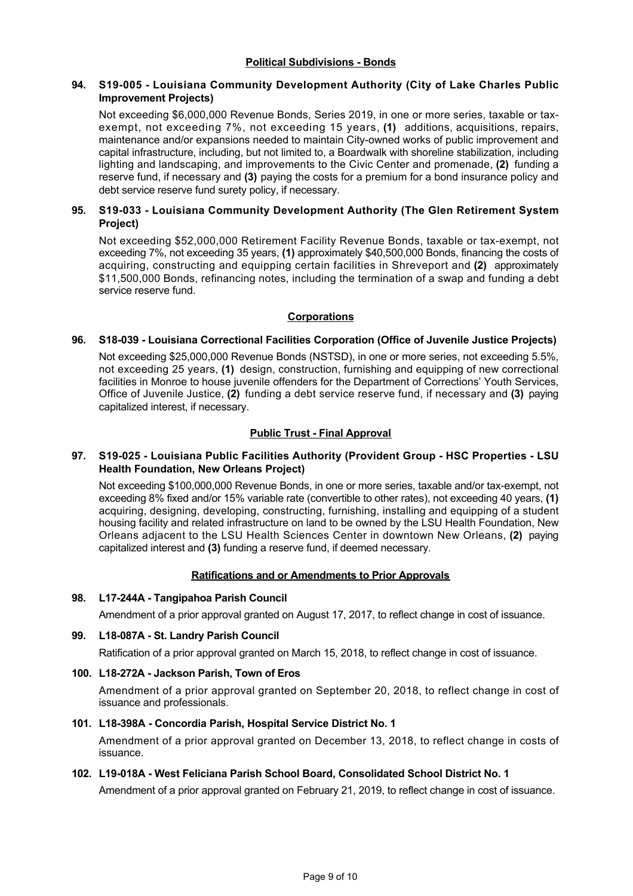# **Political Subdivisions - Bonds**

## 94. S19-005 - Louisiana Community Development Authority (City of Lake Charles Public **Improvement Projects)**

Not exceeding \$6,000,000 Revenue Bonds, Series 2019, in one or more series, taxable or taxexempt, not exceeding 7%, not exceeding 15 years, **(1)** additions, acquisitions, repairs, maintenance and/or expansions needed to maintain Cityowned works of public improvement and capital infrastructure, including, but not limited to, a Boardwalk with shoreline stabilization, including lighting and landscaping, and improvements to the Civic Center and promenade, **(2)** funding a reserve fund, if necessary and **(3)** paying the costs for a premium for a bond insurance policy and debt service reserve fund surety policy, if necessary.

# **95.** S19-033 - Louisiana Community Development Authority (The Glen Retirement System **Project)**

Not exceeding \$52,000,000 Retirement Facility Revenue Bonds, taxable or tax-exempt, not exceeding 7%, not exceeding 35 years, **(1)** approximately \$40,500,000 Bonds, financing the costs of acquiring, constructing and equipping certain facilities in Shreveport and **(2)** approximately \$11,500,000 Bonds, refinancing notes, including the termination of a swap and funding a debt service reserve fund.

## **Corporations**

## **96. S18039 Louisiana Correctional Facilities Corporation (Office of Juvenile Justice Projects)**

Not exceeding \$25,000,000 Revenue Bonds (NSTSD), in one or more series, not exceeding 5.5%, not exceeding 25 years, **(1)** design, construction, furnishing and equipping of new correctional facilities in Monroe to house juvenile offenders for the Department of Corrections' Youth Services, Office of Juvenile Justice, **(2)** funding a debt service reserve fund, if necessary and **(3)** paying capitalized interest, if necessary.

## **Public Trust - Final Approval**

## 97. S19-025 - Louisiana Public Facilities Authority (Provident Group - HSC Properties - LSU **Health Foundation, New Orleans Project)**

Not exceeding \$100,000,000 Revenue Bonds, in one or more series, taxable and/or tax-exempt, not exceeding 8% fixed and/or 15% variable rate (convertible to other rates), not exceeding 40 years, **(1)** acquiring, designing, developing, constructing, furnishing, installing and equipping of a student housing facility and related infrastructure on land to be owned by the LSU Health Foundation, New Orleans adjacent to the LSU Health Sciences Center in downtown New Orleans, **(2)** paying capitalized interest and **(3)** funding a reserve fund, if deemed necessary.

## **Ratifications and or Amendments to Prior Approvals**

## **98. L17244A Tangipahoa Parish Council**

Amendment of a prior approval granted on August 17, 2017, to reflect change in cost of issuance.

## 99. L18-087A - St. Landry Parish Council

Ratification of a prior approval granted on March 15, 2018, to reflect change in cost of issuance.

## **100. L18272A Jackson Parish, Town of Eros**

Amendment of a prior approval granted on September 20, 2018, to reflect change in cost of issuance and professionals.

## **101. L18398A Concordia Parish, Hospital Service District No. 1**

Amendment of a prior approval granted on December 13, 2018, to reflect change in costs of issuance.

## **102. L19018A West Feliciana Parish School Board, Consolidated School District No. 1**

Amendment of a prior approval granted on February 21, 2019, to reflect change in cost of issuance.